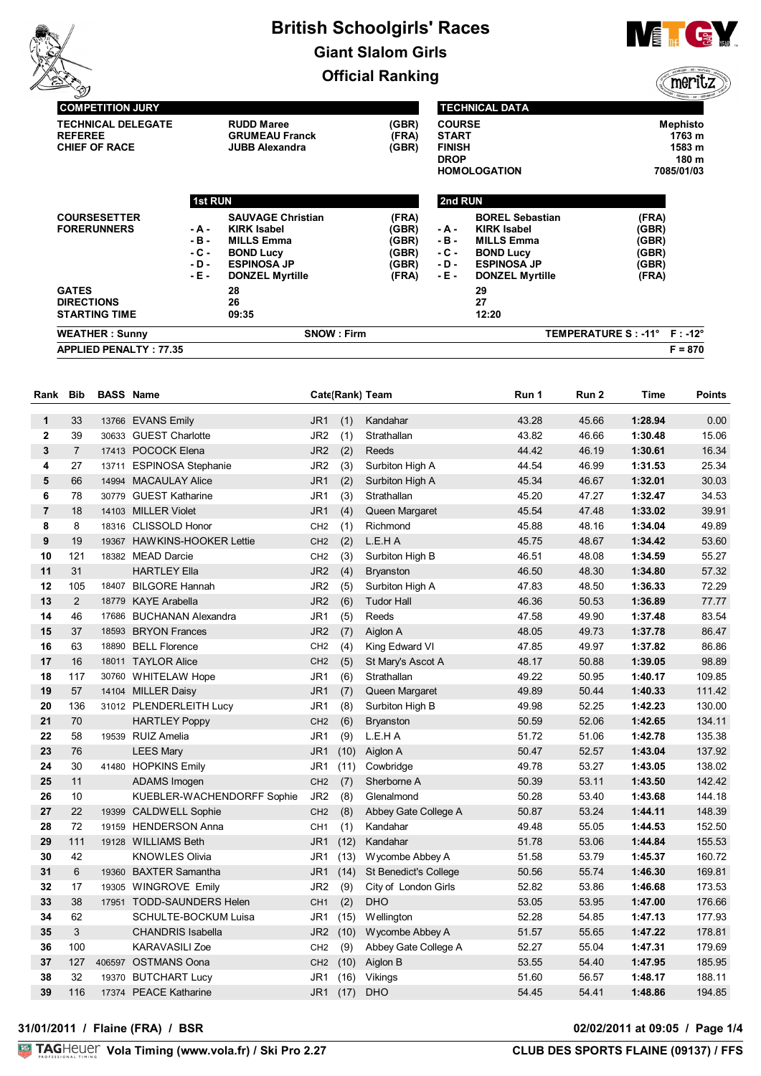

**TECHNICAL DATA**



meritz

| <b>TECHNICAL DELEGATE</b><br><b>REFEREE</b><br><b>CHIEF OF RACE</b> |                | <b>RUDD Maree</b><br><b>GRUMEAU Franck</b><br><b>JUBB Alexandra</b> | (GBR)<br>(FRA)<br>(GBR) | <b>COURSE</b><br><b>START</b><br><b>FINISH</b><br><b>DROP</b> | <b>HOMOLOGATION</b>                          |                               | <b>Mephisto</b><br>1763 m<br>1583 m<br>180 m<br>7085/01/03 |
|---------------------------------------------------------------------|----------------|---------------------------------------------------------------------|-------------------------|---------------------------------------------------------------|----------------------------------------------|-------------------------------|------------------------------------------------------------|
|                                                                     | <b>1st RUN</b> |                                                                     |                         | 2nd RUN                                                       |                                              |                               |                                                            |
| <b>COURSESETTER</b><br><b>FORERUNNERS</b>                           | - A -          | <b>SAUVAGE Christian</b><br><b>KIRK Isabel</b>                      | (FRA)<br>(GBR)          | - A -                                                         | <b>BOREL Sebastian</b><br><b>KIRK Isabel</b> | (FRA)<br>(GBR)                |                                                            |
|                                                                     | -в-<br>- C -   | <b>MILLS Emma</b><br><b>BOND Lucy</b>                               | (GBR)<br>(GBR)          | - B -<br>- C -                                                | <b>MILLS Emma</b><br><b>BOND Lucy</b>        | (GBR)<br>(GBR)                |                                                            |
|                                                                     | - D -<br>- E - | <b>ESPINOSA JP</b><br><b>DONZEL Myrtille</b>                        | (GBR)<br>(FRA)          | - D -<br>- E -                                                | <b>ESPINOSA JP</b><br><b>DONZEL Myrtille</b> | (GBR)<br>(FRA)                |                                                            |
| <b>GATES</b><br><b>DIRECTIONS</b>                                   |                | 28<br>26                                                            |                         |                                                               | 29<br>27                                     |                               |                                                            |
| <b>STARTING TIME</b>                                                |                | 09:35                                                               |                         |                                                               | 12:20                                        |                               |                                                            |
| <b>WEATHER: Sunny</b>                                               |                | <b>SNOW: Firm</b>                                                   |                         |                                                               |                                              | TEMPERATURE S : -11° F : -12° |                                                            |
| <b>APPLIED PENALTY: 77.35</b>                                       |                |                                                                     |                         |                                                               |                                              |                               | $F = 870$                                                  |

| Rank           | <b>Bib</b>     |       | <b>BASS Name</b>            |                 |      | Cate(Rank) Team              | Run 1 | Run 2 | Time    | <b>Points</b> |
|----------------|----------------|-------|-----------------------------|-----------------|------|------------------------------|-------|-------|---------|---------------|
| 1              | 33             |       | 13766 EVANS Emily           | JR <sub>1</sub> | (1)  | Kandahar                     | 43.28 | 45.66 | 1:28.94 | 0.00          |
| $\mathbf{2}$   | 39             |       | 30633 GUEST Charlotte       | JR <sub>2</sub> | (1)  | Strathallan                  | 43.82 | 46.66 | 1:30.48 | 15.06         |
| 3              | $\overline{7}$ |       | 17413 POCOCK Elena          | JR <sub>2</sub> | (2)  | Reeds                        | 44.42 | 46.19 | 1:30.61 | 16.34         |
| 4              | 27             |       | 13711 ESPINOSA Stephanie    | JR <sub>2</sub> | (3)  | Surbiton High A              | 44.54 | 46.99 | 1:31.53 | 25.34         |
| 5              | 66             |       | 14994 MACAULAY Alice        | JR <sub>1</sub> | (2)  | Surbiton High A              | 45.34 | 46.67 | 1:32.01 | 30.03         |
| 6              | 78             |       | 30779 GUEST Katharine       | JR <sub>1</sub> | (3)  | Strathallan                  | 45.20 | 47.27 | 1:32.47 | 34.53         |
| $\overline{7}$ | 18             |       | 14103 MILLER Violet         | JR <sub>1</sub> | (4)  | Queen Margaret               | 45.54 | 47.48 | 1:33.02 | 39.91         |
| 8              | 8              |       | 18316 CLISSOLD Honor        | CH <sub>2</sub> | (1)  | Richmond                     | 45.88 | 48.16 | 1:34.04 | 49.89         |
| 9              | 19             |       | 19367 HAWKINS-HOOKER Lettie | CH <sub>2</sub> | (2)  | L.E.HA                       | 45.75 | 48.67 | 1:34.42 | 53.60         |
| 10             | 121            |       | 18382 MEAD Darcie           | CH <sub>2</sub> | (3)  | Surbiton High B              | 46.51 | 48.08 | 1:34.59 | 55.27         |
| 11             | 31             |       | <b>HARTLEY Ella</b>         | JR <sub>2</sub> | (4)  | <b>Bryanston</b>             | 46.50 | 48.30 | 1:34.80 | 57.32         |
| 12             | 105            |       | 18407 BILGORE Hannah        | JR <sub>2</sub> | (5)  | Surbiton High A              | 47.83 | 48.50 | 1:36.33 | 72.29         |
| 13             | $\overline{2}$ |       | 18779 KAYE Arabella         | JR <sub>2</sub> | (6)  | <b>Tudor Hall</b>            | 46.36 | 50.53 | 1:36.89 | 77.77         |
| 14             | 46             |       | 17686 BUCHANAN Alexandra    | JR1             | (5)  | Reeds                        | 47.58 | 49.90 | 1:37.48 | 83.54         |
| 15             | 37             | 18593 | <b>BRYON Frances</b>        | JR <sub>2</sub> | (7)  | Aiglon A                     | 48.05 | 49.73 | 1:37.78 | 86.47         |
| 16             | 63             |       | 18890 BELL Florence         | CH <sub>2</sub> | (4)  | King Edward VI               | 47.85 | 49.97 | 1:37.82 | 86.86         |
| 17             | 16             |       | 18011 TAYLOR Alice          | CH <sub>2</sub> | (5)  | St Mary's Ascot A            | 48.17 | 50.88 | 1:39.05 | 98.89         |
| 18             | 117            |       | 30760 WHITELAW Hope         | JR <sub>1</sub> | (6)  | Strathallan                  | 49.22 | 50.95 | 1:40.17 | 109.85        |
| 19             | 57             |       | 14104 MILLER Daisy          | JR <sub>1</sub> | (7)  | Queen Margaret               | 49.89 | 50.44 | 1:40.33 | 111.42        |
| 20             | 136            |       | 31012 PLENDERLEITH Lucy     | JR <sub>1</sub> | (8)  | Surbiton High B              | 49.98 | 52.25 | 1:42.23 | 130.00        |
| 21             | 70             |       | <b>HARTLEY Poppy</b>        | CH <sub>2</sub> | (6)  | <b>Bryanston</b>             | 50.59 | 52.06 | 1:42.65 | 134.11        |
| 22             | 58             |       | 19539 RUIZ Amelia           | JR <sub>1</sub> | (9)  | L.E.H A                      | 51.72 | 51.06 | 1:42.78 | 135.38        |
| 23             | 76             |       | <b>LEES Mary</b>            | JR1             | (10) | Aiglon A                     | 50.47 | 52.57 | 1:43.04 | 137.92        |
| 24             | 30             |       | 41480 HOPKINS Emily         | JR1             | (11) | Cowbridge                    | 49.78 | 53.27 | 1:43.05 | 138.02        |
| 25             | 11             |       | ADAMS Imogen                | CH <sub>2</sub> | (7)  | Sherborne A                  | 50.39 | 53.11 | 1:43.50 | 142.42        |
| 26             | 10             |       | KUEBLER-WACHENDORFF Sophie  | JR <sub>2</sub> | (8)  | Glenalmond                   | 50.28 | 53.40 | 1:43.68 | 144.18        |
| 27             | 22             |       | 19399 CALDWELL Sophie       | CH <sub>2</sub> | (8)  | Abbey Gate College A         | 50.87 | 53.24 | 1:44.11 | 148.39        |
| 28             | 72             |       | 19159 HENDERSON Anna        | CH <sub>1</sub> | (1)  | Kandahar                     | 49.48 | 55.05 | 1:44.53 | 152.50        |
| 29             | 111            |       | 19128 WILLIAMS Beth         | JR <sub>1</sub> | (12) | Kandahar                     | 51.78 | 53.06 | 1:44.84 | 155.53        |
| 30             | 42             |       | <b>KNOWLES Olivia</b>       | JR1             | (13) | Wycombe Abbey A              | 51.58 | 53.79 | 1:45.37 | 160.72        |
| 31             | 6              |       | 19360 BAXTER Samantha       | JR1             | (14) | <b>St Benedict's College</b> | 50.56 | 55.74 | 1:46.30 | 169.81        |
| 32             | 17             |       | 19305 WINGROVE Emily        | JR <sub>2</sub> | (9)  | City of London Girls         | 52.82 | 53.86 | 1:46.68 | 173.53        |
| 33             | 38             |       | 17951 TODD-SAUNDERS Helen   | CH <sub>1</sub> | (2)  | <b>DHO</b>                   | 53.05 | 53.95 | 1:47.00 | 176.66        |
| 34             | 62             |       | SCHULTE-BOCKUM Luisa        | JR1             | (15) | <b>Wellington</b>            | 52.28 | 54.85 | 1:47.13 | 177.93        |
| 35             | 3              |       | <b>CHANDRIS Isabella</b>    | JR <sub>2</sub> | (10) | Wycombe Abbey A              | 51.57 | 55.65 | 1:47.22 | 178.81        |
| 36             | 100            |       | <b>KARAVASILI Zoe</b>       | CH <sub>2</sub> | (9)  | Abbey Gate College A         | 52.27 | 55.04 | 1:47.31 | 179.69        |
| 37             | 127            |       | 406597 OSTMANS Oona         | CH <sub>2</sub> | (10) | Aiglon B                     | 53.55 | 54.40 | 1:47.95 | 185.95        |
| 38             | 32             |       | 19370 BUTCHART Lucy         | JR1             | (16) | Vikings                      | 51.60 | 56.57 | 1:48.17 | 188.11        |
| 39             | 116            |       | 17374 PEACE Katharine       | JR1             | (17) | <b>DHO</b>                   | 54.45 | 54.41 | 1:48.86 | 194.85        |

#### **31/01/2011 / Flaine (FRA) / BSR 02/02/2011 at 09:05 / Page 1/4**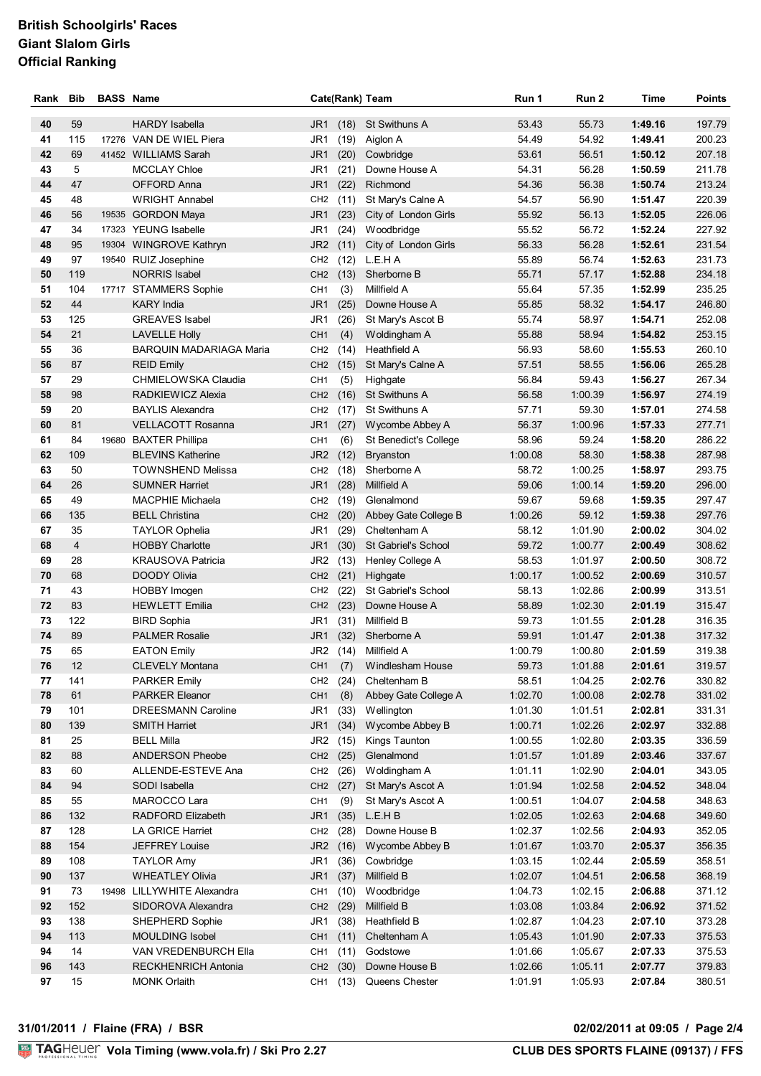| Rank     | <b>Bib</b>     | <b>BASS Name</b> |                                             |                                    | Cate(Rank) Team      |                                  | Run 1              | Run 2              | Time               | <b>Points</b>    |
|----------|----------------|------------------|---------------------------------------------|------------------------------------|----------------------|----------------------------------|--------------------|--------------------|--------------------|------------------|
| 40       | 59             |                  | HARDY Isabella                              | JR <sub>1</sub>                    | (18)                 | <b>St Swithuns A</b>             | 53.43              | 55.73              | 1:49.16            | 197.79           |
| 41       | 115            |                  | 17276 VAN DE WIEL Piera                     | JR1                                | (19)                 | Aiglon A                         | 54.49              | 54.92              | 1:49.41            | 200.23           |
| 42       | 69             |                  | 41452 WILLIAMS Sarah                        | JR <sub>1</sub>                    | (20)                 | Cowbridge                        | 53.61              | 56.51              | 1:50.12            | 207.18           |
| 43       | 5              |                  | <b>MCCLAY Chloe</b>                         | JR1                                | (21)                 | Downe House A                    | 54.31              | 56.28              | 1:50.59            | 211.78           |
| 44       | 47             |                  | OFFORD Anna                                 | JR <sub>1</sub>                    | (22)                 | Richmond                         | 54.36              | 56.38              | 1:50.74            | 213.24           |
| 45       | 48             |                  | <b>WRIGHT Annabel</b>                       | CH <sub>2</sub>                    | (11)                 | St Mary's Calne A                | 54.57              | 56.90              | 1:51.47            | 220.39           |
| 46       | 56             |                  | 19535 GORDON Maya                           | JR <sub>1</sub>                    | (23)                 | City of London Girls             | 55.92              | 56.13              | 1:52.05            | 226.06           |
| 47       | 34             |                  | 17323 YEUNG Isabelle                        | JR1                                | (24)                 | Woodbridge                       | 55.52              | 56.72              | 1:52.24            | 227.92           |
| 48       | 95             |                  | 19304 WINGROVE Kathryn                      | JR <sub>2</sub>                    |                      | (11) City of London Girls        | 56.33              | 56.28              | 1:52.61            | 231.54           |
| 49       | 97             |                  | 19540 RUIZ Josephine                        | CH <sub>2</sub>                    | (12)                 | L.E.H A                          | 55.89              | 56.74              | 1:52.63            | 231.73           |
| 50       | 119            |                  | <b>NORRIS Isabel</b>                        | CH <sub>2</sub>                    | (13)                 | Sherborne B                      | 55.71              | 57.17              | 1:52.88            | 234.18           |
| 51       | 104            |                  | 17717 STAMMERS Sophie                       | CH <sub>1</sub>                    | (3)                  | Millfield A                      | 55.64              | 57.35              | 1:52.99            | 235.25           |
| 52       | 44             |                  | <b>KARY India</b>                           | JR <sub>1</sub>                    | (25)                 | Downe House A                    | 55.85              | 58.32              | 1:54.17            | 246.80           |
| 53       | 125            |                  | <b>GREAVES</b> Isabel                       | JR1                                | (26)                 | St Mary's Ascot B                | 55.74              | 58.97              | 1:54.71            | 252.08           |
| 54       | 21             |                  | <b>LAVELLE Holly</b>                        | CH <sub>1</sub>                    | (4)                  | Woldingham A                     | 55.88              | 58.94              | 1:54.82            | 253.15           |
| 55       | 36             |                  | <b>BARQUIN MADARIAGA Maria</b>              | CH <sub>2</sub>                    | (14)                 | Heathfield A                     | 56.93              | 58.60              | 1:55.53            | 260.10           |
| 56<br>57 | 87<br>29       |                  | <b>REID Emily</b>                           | CH <sub>2</sub>                    | (15)                 | St Mary's Calne A                | 57.51              | 58.55              | 1:56.06            | 265.28<br>267.34 |
| 58       | 98             |                  | CHMIELOWSKA Claudia<br>RADKIEWICZ Alexia    | CH <sub>1</sub><br>CH <sub>2</sub> | (5)<br>(16)          | Highgate<br><b>St Swithuns A</b> | 56.84<br>56.58     | 59.43<br>1:00.39   | 1:56.27<br>1:56.97 | 274.19           |
| 59       | 20             |                  | <b>BAYLIS Alexandra</b>                     | CH <sub>2</sub>                    | (17)                 | St Swithuns A                    | 57.71              | 59.30              | 1:57.01            | 274.58           |
| 60       | 81             |                  | <b>VELLACOTT Rosanna</b>                    | JR <sub>1</sub>                    | (27)                 | Wycombe Abbey A                  | 56.37              | 1:00.96            | 1:57.33            | 277.71           |
| 61       | 84             |                  | 19680 BAXTER Phillipa                       | CH <sub>1</sub>                    | (6)                  | St Benedict's College            | 58.96              | 59.24              | 1:58.20            | 286.22           |
| 62       | 109            |                  | <b>BLEVINS Katherine</b>                    | JR <sub>2</sub>                    | (12)                 | <b>Bryanston</b>                 | 1:00.08            | 58.30              | 1:58.38            | 287.98           |
| 63       | 50             |                  | TOWNSHEND Melissa                           | CH <sub>2</sub>                    | (18)                 | Sherborne A                      | 58.72              | 1:00.25            | 1:58.97            | 293.75           |
| 64       | 26             |                  | <b>SUMNER Harriet</b>                       | JR1                                | (28)                 | Millfield A                      | 59.06              | 1:00.14            | 1:59.20            | 296.00           |
| 65       | 49             |                  | <b>MACPHIE Michaela</b>                     | CH <sub>2</sub>                    | (19)                 | Glenalmond                       | 59.67              | 59.68              | 1:59.35            | 297.47           |
| 66       | 135            |                  | <b>BELL Christina</b>                       | CH <sub>2</sub>                    | (20)                 | Abbey Gate College B             | 1:00.26            | 59.12              | 1:59.38            | 297.76           |
| 67       | 35             |                  | <b>TAYLOR Ophelia</b>                       | JR1                                | (29)                 | Cheltenham A                     | 58.12              | 1:01.90            | 2:00.02            | 304.02           |
| 68       | $\overline{4}$ |                  | <b>HOBBY Charlotte</b>                      | JR <sub>1</sub>                    | (30)                 | St Gabriel's School              | 59.72              | 1:00.77            | 2:00.49            | 308.62           |
| 69       | 28             |                  | <b>KRAUSOVA Patricia</b>                    | JR <sub>2</sub>                    | (13)                 | Henley College A                 | 58.53              | 1:01.97            | 2:00.50            | 308.72           |
| 70       | 68             |                  | <b>DOODY Olivia</b>                         | CH <sub>2</sub>                    | (21)                 | Highgate                         | 1:00.17            | 1:00.52            | 2:00.69            | 310.57           |
| 71       | 43             |                  | <b>HOBBY Imogen</b>                         | CH <sub>2</sub>                    | (22)                 | St Gabriel's School              | 58.13              | 1:02.86            | 2:00.99            | 313.51           |
| 72<br>73 | 83<br>122      |                  | <b>HEWLETT Emilia</b><br><b>BIRD Sophia</b> | CH <sub>2</sub><br>JR1             | (23)<br>(31)         | Downe House A<br>Millfield B     | 58.89<br>59.73     | 1:02.30<br>1:01.55 | 2:01.19<br>2:01.28 | 315.47<br>316.35 |
| 74       | 89             |                  | <b>PALMER Rosalie</b>                       | JR <sub>1</sub>                    | (32)                 | Sherborne A                      | 59.91              | 1:01.47            | 2:01.38            | 317.32           |
| 75       | 65             |                  | <b>EATON Emily</b>                          |                                    |                      | JR2 (14) Millfield A             | 1:00.79            | 1:00.80            | 2:01.59            | 319.38           |
| 76       | 12             |                  | <b>CLEVELY Montana</b>                      |                                    |                      | CH1 (7) Windlesham House         | 59.73              | 1:01.88            | 2:01.61            | 319.57           |
| 77       | 141            |                  | <b>PARKER Emily</b>                         |                                    | CH <sub>2</sub> (24) | Cheltenham B                     | 58.51              | 1:04.25            | 2:02.76            | 330.82           |
| 78       | 61             |                  | <b>PARKER Eleanor</b>                       | CH <sub>1</sub>                    | (8)                  | Abbey Gate College A             | 1:02.70            | 1:00.08            | 2:02.78            | 331.02           |
| 79       | 101            |                  | <b>DREESMANN Caroline</b>                   | JR1                                | (33)                 | Wellington                       | 1:01.30            | 1:01.51            | 2:02.81            | 331.31           |
| 80       | 139            |                  | SMITH Harriet                               | JR1                                | (34)                 | Wycombe Abbey B                  | 1:00.71            | 1:02.26            | 2:02.97            | 332.88           |
| 81       | 25             |                  | <b>BELL Milla</b>                           | JR <sub>2</sub>                    | (15)                 | Kings Taunton                    | 1:00.55            | 1:02.80            | 2:03.35            | 336.59           |
| 82       | 88             |                  | ANDERSON Pheobe                             | CH <sub>2</sub>                    | (25)                 | Glenalmond                       | 1:01.57            | 1:01.89            | 2:03.46            | 337.67           |
| 83       | 60             |                  | ALLENDE-ESTEVE Ana                          | CH <sub>2</sub>                    | (26)                 | Woldingham A                     | 1:01.11            | 1:02.90            | 2:04.01            | 343.05           |
| 84       | 94             |                  | SODI Isabella                               | CH <sub>2</sub> (27)               |                      | St Mary's Ascot A                | 1:01.94            | 1:02.58            | 2:04.52            | 348.04           |
| 85       | 55             |                  | MAROCCO Lara                                | CH <sub>1</sub>                    | (9)                  | St Mary's Ascot A                | 1:00.51            | 1:04.07            | 2:04.58            | 348.63           |
| 86       | 132            |                  | RADFORD Elizabeth                           | JR <sub>1</sub>                    | (35)                 | L.E.H B                          | 1:02.05            | 1:02.63            | 2:04.68            | 349.60           |
| 87       | 128            |                  | LA GRICE Harriet                            |                                    | CH <sub>2</sub> (28) | Downe House B                    | 1:02.37            | 1:02.56            | 2:04.93            | 352.05           |
| 88<br>89 | 154<br>108     |                  | JEFFREY Louise<br><b>TAYLOR Amy</b>         |                                    | JR2 (16)<br>JR1 (36) | Wycombe Abbey B<br>Cowbridge     | 1:01.67<br>1:03.15 | 1:03.70<br>1:02.44 | 2:05.37<br>2:05.59 | 356.35<br>358.51 |
| 90       | 137            |                  | WHEATLEY Olivia                             | JR1 (37)                           |                      | Millfield B                      | 1:02.07            | 1:04.51            | 2:06.58            | 368.19           |
| 91       | 73             |                  | 19498 LILLYWHITE Alexandra                  | CH <sub>1</sub>                    | (10)                 | Woodbridge                       | 1:04.73            | 1:02.15            | 2:06.88            | 371.12           |
| 92       | 152            |                  | SIDOROVA Alexandra                          | CH <sub>2</sub>                    | (29)                 | Millfield B                      | 1:03.08            | 1:03.84            | 2:06.92            | 371.52           |
| 93       | 138            |                  | SHEPHERD Sophie                             | JR1                                | (38)                 | Heathfield B                     | 1:02.87            | 1:04.23            | 2:07.10            | 373.28           |
| 94       | 113            |                  | <b>MOULDING Isobel</b>                      | CH <sub>1</sub>                    | (11)                 | Cheltenham A                     | 1:05.43            | 1:01.90            | 2:07.33            | 375.53           |
| 94       | 14             |                  | VAN VREDENBURCH Ella                        | CH <sub>1</sub>                    | (11)                 | Godstowe                         | 1:01.66            | 1:05.67            | 2:07.33            | 375.53           |
| 96       | 143            |                  | RECKHENRICH Antonia                         | CH <sub>2</sub>                    | (30)                 | Downe House B                    | 1:02.66            | 1:05.11            | 2:07.77            | 379.83           |
| 97       | 15             |                  | <b>MONK Orlaith</b>                         |                                    | CH1 (13)             | Queens Chester                   | 1:01.91            | 1:05.93            | 2:07.84            | 380.51           |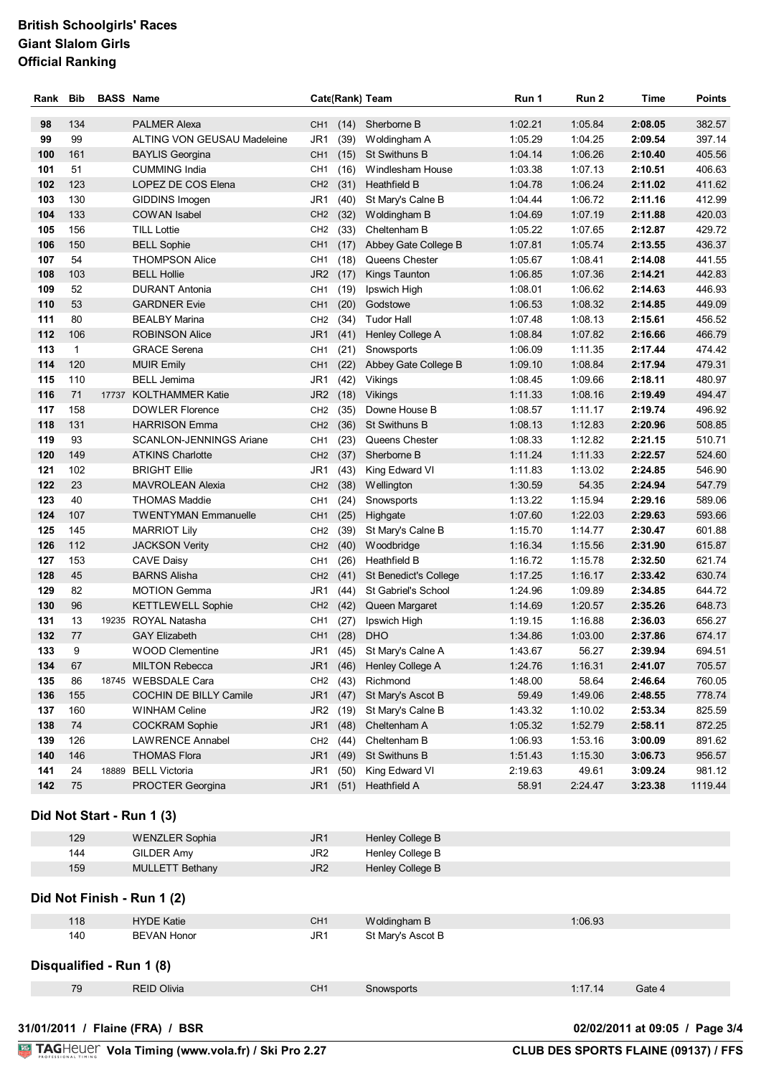| Rank | <b>Bib</b>   | <b>BASS Name</b> |                                |                 |          | Cate(Rank) Team        | Run 1   | Run 2   | Time    | <b>Points</b> |
|------|--------------|------------------|--------------------------------|-----------------|----------|------------------------|---------|---------|---------|---------------|
| 98   | 134          |                  | <b>PALMER Alexa</b>            | CH <sub>1</sub> | (14)     | Sherborne B            | 1:02.21 | 1:05.84 | 2:08.05 | 382.57        |
| 99   | 99           |                  | ALTING VON GEUSAU Madeleine    | JR1             | (39)     | Woldingham A           | 1:05.29 | 1:04.25 | 2:09.54 | 397.14        |
| 100  | 161          |                  | <b>BAYLIS Georgina</b>         | CH <sub>1</sub> | (15)     | St Swithuns B          | 1:04.14 | 1:06.26 | 2:10.40 | 405.56        |
| 101  | 51           |                  | <b>CUMMING India</b>           | CH <sub>1</sub> | (16)     | Windlesham House       | 1:03.38 | 1:07.13 | 2:10.51 | 406.63        |
| 102  | 123          |                  | LOPEZ DE COS Elena             | CH <sub>2</sub> | (31)     | <b>Heathfield B</b>    | 1:04.78 | 1:06.24 | 2:11.02 | 411.62        |
| 103  | 130          |                  | GIDDINS Imogen                 | JR1             | (40)     | St Mary's Calne B      | 1:04.44 | 1:06.72 | 2:11.16 | 412.99        |
| 104  | 133          |                  | COWAN Isabel                   | CH <sub>2</sub> | (32)     | Woldingham B           | 1:04.69 | 1:07.19 | 2:11.88 | 420.03        |
| 105  | 156          |                  | <b>TILL Lottie</b>             | CH <sub>2</sub> | (33)     | Cheltenham B           | 1:05.22 | 1:07.65 | 2:12.87 | 429.72        |
| 106  | 150          |                  | <b>BELL Sophie</b>             | CH <sub>1</sub> | (17)     | Abbey Gate College B   | 1:07.81 | 1:05.74 | 2:13.55 | 436.37        |
| 107  | 54           |                  | <b>THOMPSON Alice</b>          | CH <sub>1</sub> | (18)     | Queens Chester         | 1:05.67 | 1:08.41 | 2:14.08 | 441.55        |
| 108  | 103          |                  | <b>BELL Hollie</b>             | JR <sub>2</sub> | (17)     | Kings Taunton          | 1:06.85 | 1:07.36 | 2:14.21 | 442.83        |
| 109  | 52           |                  | <b>DURANT Antonia</b>          | CH <sub>1</sub> | (19)     | Ipswich High           | 1:08.01 | 1:06.62 | 2:14.63 | 446.93        |
| 110  | 53           |                  | <b>GARDNER Evie</b>            | CH <sub>1</sub> | (20)     | Godstowe               | 1:06.53 | 1:08.32 | 2:14.85 | 449.09        |
| 111  | 80           |                  | <b>BEALBY Marina</b>           | CH <sub>2</sub> | (34)     | <b>Tudor Hall</b>      | 1:07.48 | 1:08.13 | 2:15.61 | 456.52        |
| 112  | 106          |                  | <b>ROBINSON Alice</b>          | JR <sub>1</sub> | (41)     | Henley College A       | 1:08.84 | 1:07.82 | 2:16.66 | 466.79        |
| 113  | $\mathbf{1}$ |                  | <b>GRACE Serena</b>            | CH <sub>1</sub> | (21)     | Snowsports             | 1:06.09 | 1:11.35 | 2:17.44 | 474.42        |
| 114  | 120          |                  | <b>MUIR Emily</b>              | CH <sub>1</sub> | (22)     | Abbey Gate College B   | 1:09.10 | 1:08.84 | 2:17.94 | 479.31        |
| 115  | 110          |                  | <b>BELL Jemima</b>             | JR1             | (42)     | Vikings                | 1:08.45 | 1:09.66 | 2:18.11 | 480.97        |
| 116  | 71           |                  | 17737 KOLTHAMMER Katie         | JR <sub>2</sub> | (18)     | Vikings                | 1:11.33 | 1:08.16 | 2:19.49 | 494.47        |
| 117  | 158          |                  | <b>DOWLER Florence</b>         | CH <sub>2</sub> | (35)     | Downe House B          | 1:08.57 | 1:11.17 | 2:19.74 | 496.92        |
| 118  | 131          |                  | <b>HARRISON Emma</b>           | CH <sub>2</sub> | (36)     | St Swithuns B          | 1:08.13 | 1:12.83 | 2:20.96 | 508.85        |
| 119  | 93           |                  | <b>SCANLON-JENNINGS Ariane</b> | CH <sub>1</sub> | (23)     | Queens Chester         | 1:08.33 | 1:12.82 | 2:21.15 | 510.71        |
| 120  | 149          |                  | <b>ATKINS Charlotte</b>        | CH <sub>2</sub> | (37)     | Sherborne B            | 1:11.24 | 1:11.33 | 2:22.57 | 524.60        |
| 121  | 102          |                  | <b>BRIGHT Ellie</b>            | JR1             | (43)     | King Edward VI         | 1:11.83 | 1:13.02 | 2:24.85 | 546.90        |
| 122  | 23           |                  | <b>MAVROLEAN Alexia</b>        | CH <sub>2</sub> | (38)     | Wellington             | 1:30.59 | 54.35   | 2:24.94 | 547.79        |
| 123  | 40           |                  | <b>THOMAS Maddie</b>           | CH <sub>1</sub> | (24)     | Snowsports             | 1:13.22 | 1:15.94 | 2:29.16 | 589.06        |
| 124  | 107          |                  | <b>TWENTYMAN Emmanuelle</b>    | CH <sub>1</sub> | (25)     | Highgate               | 1:07.60 | 1:22.03 | 2:29.63 | 593.66        |
| 125  | 145          |                  | <b>MARRIOT Lily</b>            | CH <sub>2</sub> | (39)     | St Mary's Calne B      | 1:15.70 | 1:14.77 | 2:30.47 | 601.88        |
| 126  | 112          |                  | <b>JACKSON Verity</b>          | CH <sub>2</sub> | (40)     | Woodbridge             | 1:16.34 | 1:15.56 | 2:31.90 | 615.87        |
| 127  | 153          |                  | <b>CAVE Daisy</b>              | CH <sub>1</sub> | (26)     | Heathfield B           | 1:16.72 | 1:15.78 | 2:32.50 | 621.74        |
| 128  | 45           |                  | <b>BARNS Alisha</b>            | CH <sub>2</sub> | (41)     | St Benedict's College  | 1:17.25 | 1:16.17 | 2:33.42 | 630.74        |
| 129  | 82           |                  | <b>MOTION Gemma</b>            | JR1             | (44)     | St Gabriel's School    | 1:24.96 | 1:09.89 | 2:34.85 | 644.72        |
| 130  | 96           |                  | <b>KETTLEWELL Sophie</b>       | CH <sub>2</sub> | (42)     | Queen Margaret         | 1:14.69 | 1:20.57 | 2:35.26 | 648.73        |
| 131  | 13           |                  | 19235 ROYAL Natasha            | CH <sub>1</sub> | (27)     | Ipswich High           | 1:19.15 | 1:16.88 | 2:36.03 | 656.27        |
| 132  | 77           |                  | <b>GAY Elizabeth</b>           | CH <sub>1</sub> | (28)     | <b>DHO</b>             | 1:34.86 | 1:03.00 | 2:37.86 | 674.17        |
| 133  | 9            |                  | <b>WOOD Clementine</b>         | JR1             |          | (45) St Mary's Calne A | 1:43.67 | 56.27   | 2:39.94 | 694.51        |
| 134  | 67           |                  | <b>MILTON Rebecca</b>          | JR1             | (46)     | Henley College A       | 1:24.76 | 1:16.31 | 2:41.07 | 705.57        |
| 135  | 86           |                  | 18745 WEBSDALE Cara            | CH <sub>2</sub> | (43)     | Richmond               | 1:48.00 | 58.64   | 2:46.64 | 760.05        |
| 136  | 155          |                  | COCHIN DE BILLY Camile         | JR <sub>1</sub> | (47)     | St Mary's Ascot B      | 59.49   | 1:49.06 | 2:48.55 | 778.74        |
| 137  | 160          |                  | <b>WINHAM Celine</b>           | JR <sub>2</sub> | (19)     | St Mary's Calne B      | 1:43.32 | 1:10.02 | 2:53.34 | 825.59        |
| 138  | 74           |                  | <b>COCKRAM Sophie</b>          | JR <sub>1</sub> | (48)     | Cheltenham A           | 1:05.32 | 1:52.79 | 2:58.11 | 872.25        |
| 139  | 126          |                  | <b>LAWRENCE Annabel</b>        |                 | CH2 (44) | Cheltenham B           | 1:06.93 | 1:53.16 | 3:00.09 | 891.62        |
| 140  | 146          |                  | <b>THOMAS Flora</b>            |                 |          | JR1 (49) St Swithuns B | 1:51.43 | 1:15.30 | 3:06.73 | 956.57        |
| 141  | 24           |                  | 18889 BELL Victoria            | JR1             | (50)     | King Edward VI         | 2:19.63 | 49.61   | 3:09.24 | 981.12        |
| 142  | 75           |                  | PROCTER Georgina               |                 |          | JR1 (51) Heathfield A  | 58.91   | 2:24.47 | 3:23.38 | 1119.44       |

| 129 | <b>WENZLER Sophia</b>  | JR <sub>1</sub> | Henley College B |
|-----|------------------------|-----------------|------------------|
| 144 | GILDER Amy             | JR <sub>2</sub> | Henley College B |
| 159 | <b>MULLETT Bethany</b> | JR <sub>2</sub> | Henley College B |
|     |                        |                 |                  |

**Did Not Finish - Run 1 (2)**

| 118                      | <b>HYDE Katie</b>  | CH <sub>1</sub> | Woldingham B      | 1:06.93 |        |
|--------------------------|--------------------|-----------------|-------------------|---------|--------|
| 140                      | <b>BEVAN Honor</b> | JR1             | St Mary's Ascot B |         |        |
| Disqualified - Run 1 (8) |                    |                 |                   |         |        |
| 79                       | <b>REID Olivia</b> | CH <sub>1</sub> | Snowsports        | 1:17.14 | Gate 4 |